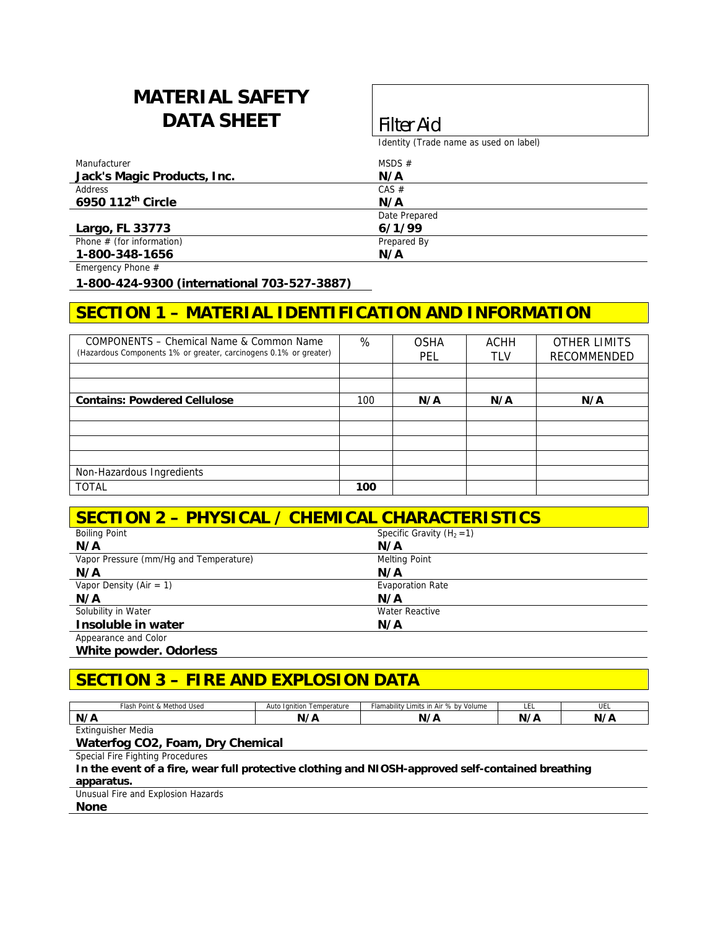# **MATERIAL SAFETY DATA SHEET Filter Aid**

Identity (Trade name as used on label)

| Manufacturer                | MSDS $#$      |
|-----------------------------|---------------|
| Jack's Magic Products, Inc. | N/A           |
| Address                     | CAS #         |
| 6950 112th Circle           | N/A           |
|                             | Date Prepared |
| Largo, FL 33773             | 6/1/99        |
| Phone $#$ (for information) | Prepared By   |
| 1-800-348-1656              | N/A           |

Emergency Phone #

**1-800-424-9300 (international 703-527-3887)** 

## **SECTION 1 – MATERIAL IDENTIFICATION AND INFORMATION**

| COMPONENTS – Chemical Name & Common Name<br>(Hazardous Components 1% or greater, carcinogens 0.1% or greater) | %   | <b>OSHA</b><br><b>PEL</b> | <b>ACHH</b><br><b>TLV</b> | <b>OTHER LIMITS</b><br>RECOMMENDED |
|---------------------------------------------------------------------------------------------------------------|-----|---------------------------|---------------------------|------------------------------------|
|                                                                                                               |     |                           |                           |                                    |
|                                                                                                               |     |                           |                           |                                    |
| <b>Contains: Powdered Cellulose</b>                                                                           | 100 | N/A                       | N/A                       | N/A                                |
|                                                                                                               |     |                           |                           |                                    |
|                                                                                                               |     |                           |                           |                                    |
|                                                                                                               |     |                           |                           |                                    |
|                                                                                                               |     |                           |                           |                                    |
| Non-Hazardous Ingredients                                                                                     |     |                           |                           |                                    |
| <b>TOTAL</b>                                                                                                  | 100 |                           |                           |                                    |

#### **SECTION 2 – PHYSICAL / CHEMICAL CHARACTERISTICS**

| <b>Boiling Point</b>                   | Specific Gravity $(H_2 = 1)$ |
|----------------------------------------|------------------------------|
| N/A                                    | N/A                          |
| Vapor Pressure (mm/Hq and Temperature) | <b>Melting Point</b>         |
| N/A                                    | N/A                          |
| Vapor Density (Air = 1)                | <b>Evaporation Rate</b>      |
| N/A                                    | N/A                          |
| Solubility in Water                    | Water Reactive               |
| Insoluble in water                     | N/A                          |
| Appearance and Color                   |                              |

**White powder. Odorless** 

# **SECTION 3 – FIRE AND EXPLOSION DATA**

| <sup>1</sup> Usea<br>Method<br>™lash<br>Point & | Auto<br>Temperature<br>Ignition | flamability '<br>Limits in Air % by Volume | ᄔ  | ULL |
|-------------------------------------------------|---------------------------------|--------------------------------------------|----|-----|
| N/A                                             | $\lambda$                       | r                                          | W. |     |
| ktinguisher Media<br>$-1/2$<br>ᄂᄉᄖ              |                                 |                                            |    |     |

#### **Waterfog CO2, Foam, Dry Chemical**

Special Fire Fighting Procedures

**In the event of a fire, wear full protective clothing and NIOSH-approved self-contained breathing apparatus.** 

Unusual Fire and Explosion Hazards

**None**